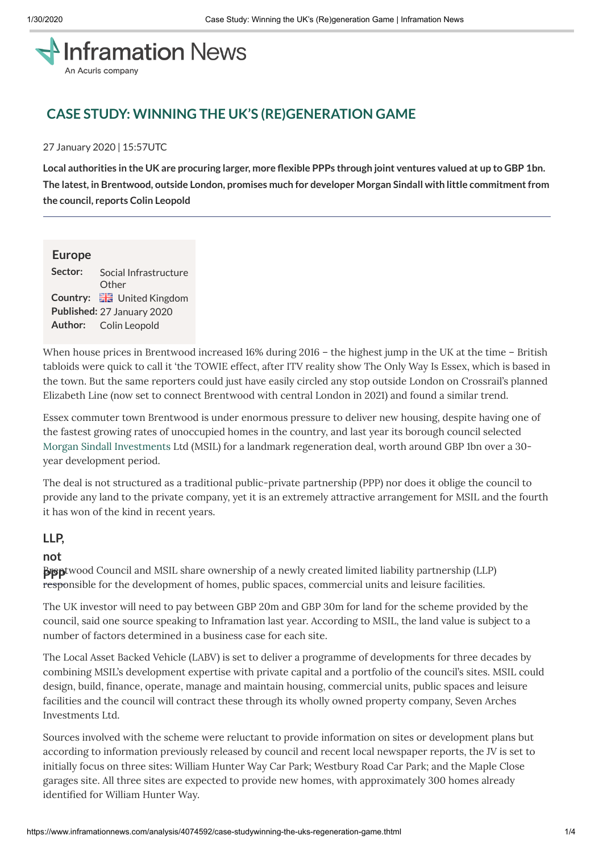# **Inframation News** An Acuris company

## **CASE STUDY: WINNING THE UK'S (RE)GENERATION GAME**

#### 27 January 2020 | 15:57UTC

Local authorities in the UK are procuring larger, more flexible PPPs through joint ventures valued at up to GBP 1bn. **The latest, in Brentwood, outside London, promises much for developer Morgan Sindall with little commitmentfrom the council, reports Colin Leopold**

#### **Europe**

**Sector:** Social Infrastructure **Other Country: He** United Kingdom **Published:** 27 January 2020 **Author:** Colin Leopold

When house prices in Brentwood increased 16% during 2016 – the highest jump in the UK at the time – British tabloids were quick to call it 'the TOWIE effect, after ITV reality show The Only Way Is Essex, which is based in the town. But the same reporters could just have easily circled any stop outside London on Crossrail's planned Elizabeth Line (now set to connect Brentwood with central London in 2021) and found a similar trend.

Essex commuter town Brentwood is under enormous pressure to deliver new housing, despite having one of the fastest growing rates of unoccupied homes in the country, and last year its borough council selected Morgan Sindall [Investments](https://www.inframationnews.com/investors/303631/morgan-sindall-investments.thtml) Ltd (MSIL) for a landmark regeneration deal, worth around GBP 1bn over a 30 year development period.

The deal is not structured as a traditional public-private partnership (PPP) nor does it oblige the council to provide any land to the private company, yet it is an extremely attractive arrangement for MSIL and the fourth it has won of the kind in recent years.

## **LLP,**

#### **not**

**B Brentwood Council and MSIL share ownership of a newly created limited liability partnership (LLP)** responsible for the development of homes, public spaces, commercial units and leisure facilities.

The UK investor will need to pay between GBP 20m and GBP 30m for land for the scheme provided by the council, said one source speaking to Inframation last year. According to MSIL, the land value is subject to a number of factors determined in a business case for each site.

The Local Asset Backed Vehicle (LABV) is set to deliver a programme of developments for three decades by combining MSIL's development expertise with private capital and a portfolio of the council's sites. MSIL could design, build, finance, operate, manage and maintain housing, commercial units, public spaces and leisure facilities and the council will contract these through its wholly owned property company, Seven Arches Investments Ltd.

Sources involved with the scheme were reluctant to provide information on sites or development plans but according to information previously released by council and recent local newspaper reports, the JV is set to initially focus on three sites: William Hunter Way Car Park; Westbury Road Car Park; and the Maple Close garages site. All three sites are expected to provide new homes, with approximately 300 homes already identified for William Hunter Way.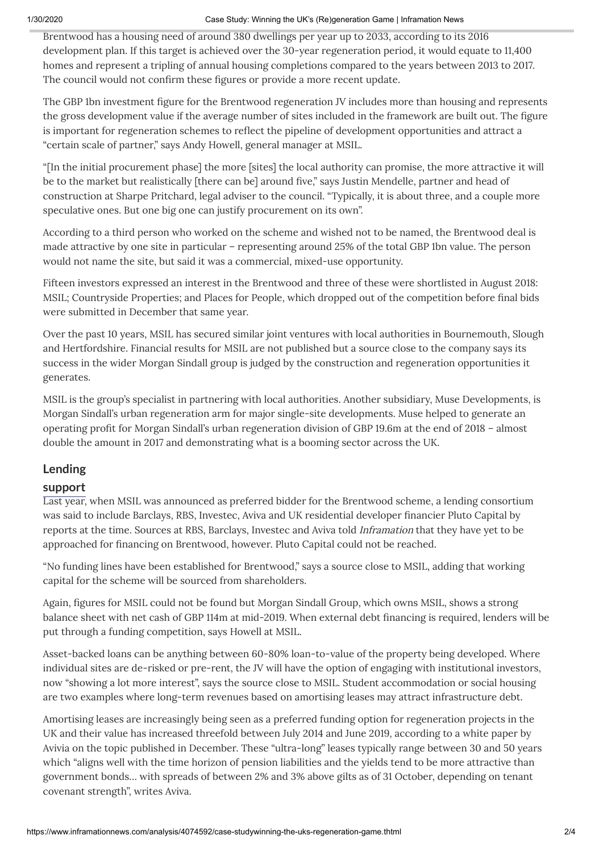Brentwood has a housing need of around 380 dwellings per year up to 2033, according to its 2016 development plan. If this target is achieved over the 30-year regeneration period, it would equate to 11,400 homes and represent a tripling of annual housing completions compared to the years between 2013 to 2017. The council would not confirm these figures or provide a more recent update.

The GBP 1bn investment figure for the Brentwood regeneration JV includes more than housing and represents the gross development value if the average number of sites included in the framework are built out. The figure is important for regeneration schemes to reflect the pipeline of development opportunities and attract a "certain scale of partner," says Andy Howell, general manager at MSIL.

"[In the initial procurement phase] the more [sites] the local authority can promise, the more attractive it will be to the market but realistically [there can be] around five," says Justin Mendelle, partner and head of construction at Sharpe Pritchard, legal adviser to the council. "Typically, it is about three, and a couple more speculative ones. But one big one can justify procurement on its own".

According to a third person who worked on the scheme and wished not to be named, the Brentwood deal is made attractive by one site in particular – representing around 25% of the total GBP 1bn value. The person would not name the site, but said it was a commercial, mixed-use opportunity.

Fifteen investors expressed an interest in the Brentwood and three of these were shortlisted in August 2018: MSIL; Countryside Properties; and Places for People, which dropped out of the competition before final bids were submitted in December that same year.

Over the past 10 years, MSIL has secured similar joint ventures with local authorities in Bournemouth, Slough and Hertfordshire. Financial results for MSIL are not published but a source close to the company says its success in the wider Morgan Sindall group is judged by the construction and regeneration opportunities it generates.

MSIL is the group's specialist in partnering with local authorities. Another subsidiary, Muse Developments, is Morgan Sindall's urban regeneration arm for major single-site developments. Muse helped to generate an operating profit for Morgan Sindall's urban regeneration division of GBP 19.6m at the end of 2018 – almost double the amount in 2017 and demonstrating what is a booming sector across the UK.

## **Lending**

## **support**

Last year, when MSIL was announced as preferred bidder for the Brentwood scheme, a lending consortium was said to include Barclays, RBS, Investec, Aviva and UK residential developer financier Pluto Capital by reports at the time. Sources at RBS, Barclays, Investec and Aviva told Inframation that they have yet to be approached for financing on Brentwood, however. Pluto Capital could not be reached.

"No funding lines have been established for Brentwood," says a source close to MSIL, adding that working capital for the scheme will be sourced from shareholders.

Again, figures for MSIL could not be found but Morgan Sindall Group, which owns MSIL, shows a strong balance sheet with net cash of GBP 114m at mid-2019. When external debt financing is required, lenders will be put through a funding competition, says Howell at MSIL.

Asset-backed loans can be anything between 60-80% loan-to-value of the property being developed. Where individual sites are de-risked or pre-rent, the JV will have the option of engaging with institutional investors, now "showing a lot more interest", says the source close to MSIL. Student accommodation or social housing are two examples where long-term revenues based on amortising leases may attract infrastructure debt.

Amortising leases are increasingly being seen as a preferred funding option for regeneration projects in the UK and their value has increased threefold between July 2014 and June 2019, according to a white paper by Avivia on the topic published in December. These "ultra-long" leases typically range between 30 and 50 years which "aligns well with the time horizon of pension liabilities and the yields tend to be more attractive than government bonds… with spreads of between 2% and 3% above gilts as of 31 October, depending on tenant covenant strength", writes Aviva.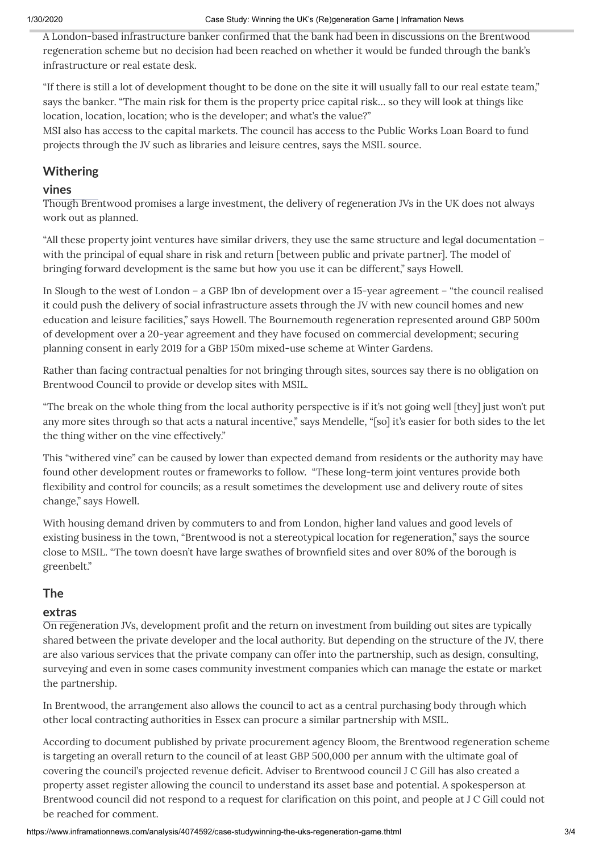A London-based infrastructure banker confirmed that the bank had been in discussions on the Brentwood regeneration scheme but no decision had been reached on whether it would be funded through the bank's infrastructure or real estate desk.

"If there is still a lot of development thought to be done on the site it will usually fall to our real estate team," says the banker. "The main risk for them is the property price capital risk… so they will look at things like location, location, location; who is the developer; and what's the value?"

MSI also has access to the capital markets. The council has access to the Public Works Loan Board to fund projects through the JV such as libraries and leisure centres, says the MSIL source.

## **Withering**

#### **vines**

Though Brentwood promises a large investment, the delivery of regeneration JVs in the UK does not always work out as planned.

"All these property joint ventures have similar drivers, they use the same structure and legal documentation – with the principal of equal share in risk and return [between public and private partner]. The model of bringing forward development is the same but how you use it can be different," says Howell.

In Slough to the west of London – a GBP 1bn of development over a 15-year agreement – "the council realised it could push the delivery of social infrastructure assets through the JV with new council homes and new education and leisure facilities," says Howell. The Bournemouth regeneration represented around GBP 500m of development over a 20-year agreement and they have focused on commercial development; securing planning consent in early 2019 for a GBP 150m mixed-use scheme at Winter Gardens.

Rather than facing contractual penalties for not bringing through sites, sources say there is no obligation on Brentwood Council to provide or develop sites with MSIL.

"The break on the whole thing from the local authority perspective is if it's not going well [they] just won't put any more sites through so that acts a natural incentive," says Mendelle, "[so] it's easier for both sides to the let the thing wither on the vine effectively."

This "withered vine" can be caused by lower than expected demand from residents or the authority may have found other development routes or frameworks to follow. "These long-term joint ventures provide both flexibility and control for councils; as a result sometimes the development use and delivery route of sites change," says Howell.

With housing demand driven by commuters to and from London, higher land values and good levels of existing business in the town, "Brentwood is not a stereotypical location for regeneration," says the source close to MSIL. "The town doesn't have large swathes of brownfield sites and over 80% of the borough is greenbelt."

## **The**

## **extras**

On regeneration JVs, development profit and the return on investment from building out sites are typically shared between the private developer and the local authority. But depending on the structure of the JV, there are also various services that the private company can offer into the partnership, such as design, consulting, surveying and even in some cases community investment companies which can manage the estate or market the partnership.

In Brentwood, the arrangement also allows the council to act as a central purchasing body through which other local contracting authorities in Essex can procure a similar partnership with MSIL.

According to document published by private procurement agency Bloom, the Brentwood regeneration scheme is targeting an overall return to the council of at least GBP 500,000 per annum with the ultimate goal of covering the council's projected revenue deficit. Adviser to Brentwood council J C Gill has also created a property asset register allowing the council to understand its asset base and potential. A spokesperson at Brentwood council did not respond to a request for clarification on this point, and people at J C Gill could not be reached for comment.